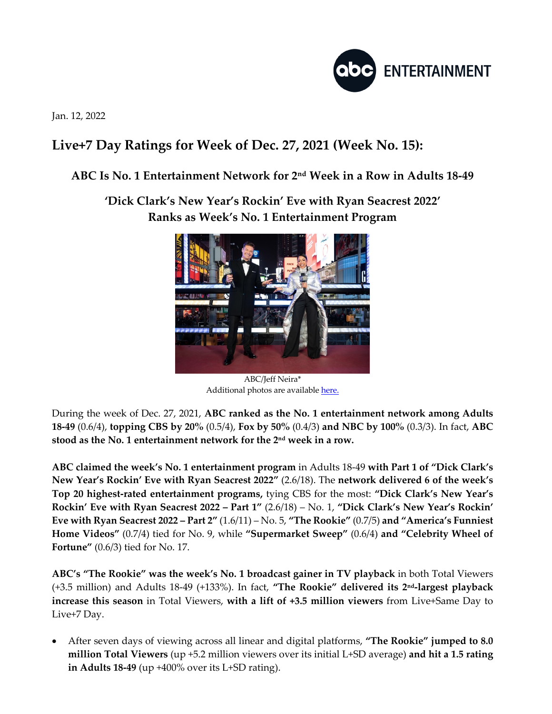

Jan. 12, 2022

## **Live+7 Day Ratings for Week of Dec. 27, 2021 (Week No. 15):**

## **ABC Is No. 1 Entertainment Network for 2nd Week in a Row in Adults 18-49**

**'Dick Clark's New Year's Rockin' Eve with Ryan Seacrest 2022' Ranks as Week's No. 1 Entertainment Program**



ABC/Jeff Neira\* Additional photos are available here.

During the week of Dec. 27, 2021, **ABC ranked as the No. 1 entertainment network among Adults 18-49** (0.6/4), **topping CBS by 20%** (0.5/4), **Fox by 50%** (0.4/3) **and NBC by 100%** (0.3/3). In fact, **ABC stood as the No. 1 entertainment network for the 2nd week in a row.**

**ABC claimed the week's No. 1 entertainment program** in Adults 18-49 **with Part 1 of "Dick Clark's New Year's Rockin' Eve with Ryan Seacrest 2022"** (2.6/18). The **network delivered 6 of the week's Top 20 highest-rated entertainment programs,** tying CBS for the most: **"Dick Clark's New Year's Rockin' Eve with Ryan Seacrest 2022 – Part 1"** (2.6/18) – No. 1, **"Dick Clark's New Year's Rockin' Eve with Ryan Seacrest 2022 – Part 2"** (1.6/11) – No. 5, **"The Rookie"** (0.7/5) **and "America's Funniest Home Videos"** (0.7/4) tied for No. 9, while **"Supermarket Sweep"** (0.6/4) **and "Celebrity Wheel of Fortune"** (0.6/3) tied for No. 17.

**ABC's "The Rookie" was the week's No. 1 broadcast gainer in TV playback** in both Total Viewers (+3.5 million) and Adults 18-49 (+133%). In fact, **"The Rookie" delivered its 2nd-largest playback increase this season** in Total Viewers, **with a lift of +3.5 million viewers** from Live+Same Day to Live+7 Day.

• After seven days of viewing across all linear and digital platforms, **"The Rookie" jumped to 8.0 million Total Viewers** (up +5.2 million viewers over its initial L+SD average) **and hit a 1.5 rating in Adults 18-49** (up +400% over its L+SD rating).